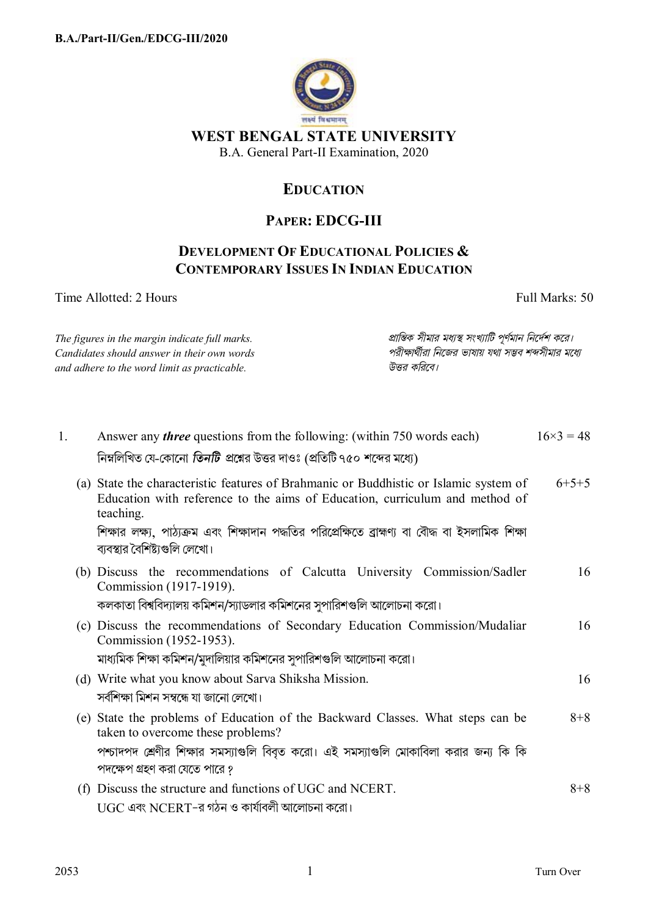

**WEST BENGAL STATE UNIVERSITY** 

B.A. General Part-II Examination, 2020

## **EDUCATION**

## **PAPER: EDCG-III**

## **DEVELOPMENT OF EDUCATIONAL POLICIES & CONTEMPORARY ISSUES IN INDIAN EDUCATION**

Time Allotted: 2 Hours Full Marks: 50

*The figures in the margin indicate full marks. pািnক সীমার মধ°s সংখ°ািট পূণমান িনেদশ কের। Candidates should answer in their own words পরীkাথীরা িনেজর ভাষায় যথা সmব শbসীমার মেধ° and adhere to the word limit as practicable. উtর কিরেব।*

| 1. | Answer any <i>three</i> questions from the following: (within 750 words each)<br>নিম্নলিখিত যে-কোনো <i>তিনটি প্র</i> শ্নের উত্তর দাওঃ (প্রতিটি ৭৫০ শব্দের মধ্যে)                  | $16\times3 = 48$ |
|----|-----------------------------------------------------------------------------------------------------------------------------------------------------------------------------------|------------------|
|    | (a) State the characteristic features of Brahmanic or Buddhistic or Islamic system of<br>Education with reference to the aims of Education, curriculum and method of<br>teaching. | $6+5+5$          |
|    | শিক্ষার লক্ষ্য, পাঠ্যক্রম এবং শিক্ষাদান পদ্ধতির পরিপ্রেক্ষিতে ব্রাহ্মণ্য বা বৌদ্ধ বা ইসলামিক শিক্ষা<br>ব্যবস্থার বৈশিষ্ট্যগুলি লেখো।                                              |                  |
|    | (b) Discuss the recommendations of Calcutta University Commission/Sadler<br>Commission (1917-1919).                                                                               | 16               |
|    | কলকাতা বিশ্ববিদ্যালয় কমিশন/স্যাডলার কমিশনের সুপারিশগুলি আলোচনা করো।                                                                                                              |                  |
|    | (c) Discuss the recommendations of Secondary Education Commission/Mudaliar<br>Commission (1952-1953).                                                                             | 16               |
|    | মাধ্যমিক শিক্ষা কমিশন/মুদালিয়ার কমিশনের সুপারিশগুলি আলোচনা করো।                                                                                                                  |                  |
|    | (d) Write what you know about Sarva Shiksha Mission.<br>সর্বশিক্ষা মিশন সম্বন্ধে যা জানো লেখো।                                                                                    | 16               |
|    | (e) State the problems of Education of the Backward Classes. What steps can be<br>taken to overcome these problems?                                                               | $8 + 8$          |
|    | পশ্চাদপদ শ্রেণীর শিক্ষার সমস্যাগুলি বিবৃত করো। এই সমস্যাগুলি মোকাবিলা করার জন্য কি কি                                                                                             |                  |
|    | পদক্ষেপ গ্রহণ করা যেতে পারে ?                                                                                                                                                     |                  |
|    | (f) Discuss the structure and functions of UGC and NCERT.                                                                                                                         | $8 + 8$          |
|    | UGC এবং NCERT-র গঠন ও কার্যাবলী আলোচনা করো।                                                                                                                                       |                  |